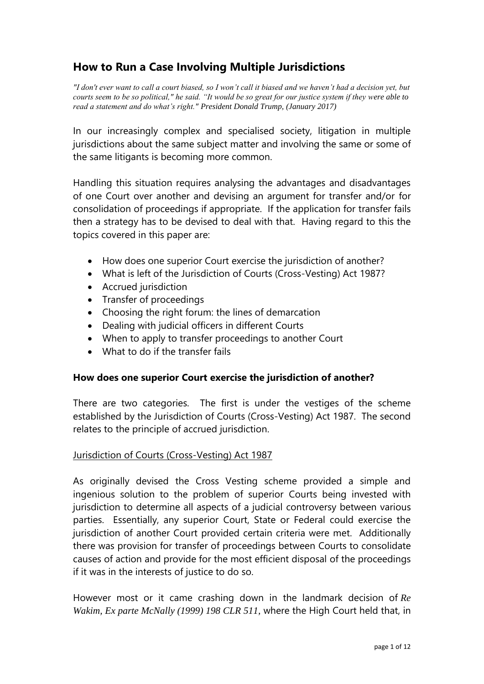# **How to Run a Case Involving Multiple Jurisdictions**

*"I don't ever want to call a court biased, so I won't call it biased and we haven't had a decision yet, but courts seem to be so political," he said. "It would be so great for our justice system if they were able to read a statement and do what's right." President Donald Trump, (January 2017)*

In our increasingly complex and specialised society, litigation in multiple jurisdictions about the same subject matter and involving the same or some of the same litigants is becoming more common.

Handling this situation requires analysing the advantages and disadvantages of one Court over another and devising an argument for transfer and/or for consolidation of proceedings if appropriate. If the application for transfer fails then a strategy has to be devised to deal with that. Having regard to this the topics covered in this paper are:

- How does one superior Court exercise the jurisdiction of another?
- What is left of the Jurisdiction of Courts (Cross-Vesting) Act 1987?
- Accrued jurisdiction
- Transfer of proceedings
- Choosing the right forum: the lines of demarcation
- Dealing with judicial officers in different Courts
- When to apply to transfer proceedings to another Court
- What to do if the transfer fails

# **How does one superior Court exercise the jurisdiction of another?**

There are two categories. The first is under the vestiges of the scheme established by the Jurisdiction of Courts (Cross-Vesting) Act 1987. The second relates to the principle of accrued jurisdiction.

# Jurisdiction of Courts (Cross-Vesting) Act 1987

As originally devised the Cross Vesting scheme provided a simple and ingenious solution to the problem of superior Courts being invested with jurisdiction to determine all aspects of a judicial controversy between various parties. Essentially, any superior Court, State or Federal could exercise the jurisdiction of another Court provided certain criteria were met. Additionally there was provision for transfer of proceedings between Courts to consolidate causes of action and provide for the most efficient disposal of the proceedings if it was in the interests of justice to do so.

However most or it came crashing down in the landmark decision of *Re Wakim, Ex parte McNally (1999) 198 CLR 511,* where the High Court held that, in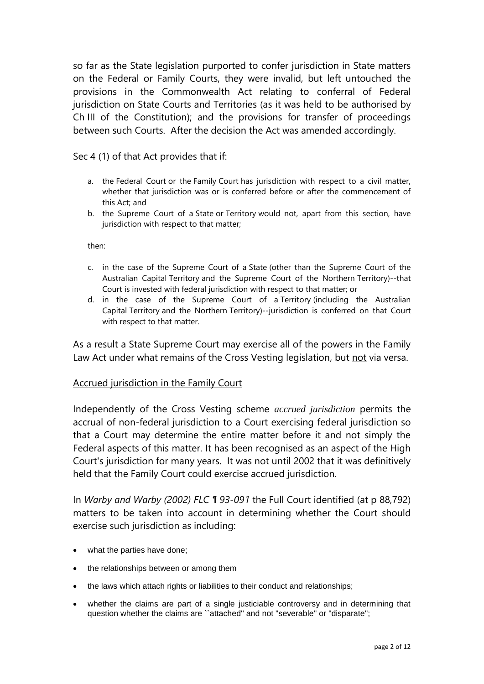so far as the State legislation purported to confer jurisdiction in State matters on the Federal or Family Courts, they were invalid, but left untouched the provisions in the Commonwealth Act relating to conferral of Federal jurisdiction on State Courts and Territories (as it was held to be authorised by Ch III of the Constitution); and the provisions for transfer of proceedings between such Courts. After the decision the Act was amended accordingly.

Sec 4 (1) of that Act provides that if:

- a. the [Federal Court](http://www.austlii.edu.au/au/legis/cth/consol_act/joca1987427/s3.html#federal_court) or the [Family](http://www.austlii.edu.au/au/legis/cth/consol_act/joca1987427/s3.html#family_court) [Court](http://www.austlii.edu.au/au/legis/cth/consol_act/joca1987427/s3.html#family_court) has jurisdiction with respect to a civil matter, whether that jurisdiction was or is conferred before or after the commencement of this Act; and
- b. the Supreme Court of a [State](http://www.austlii.edu.au/au/legis/cth/consol_act/joca1987427/s3.html#state) or [Territory](http://www.austlii.edu.au/au/legis/cth/consol_act/joca1987427/s3.html#territory) would not, apart from this section, have jurisdiction with respect to that matter;

then:

- c. in the case of the Supreme Court of a [State](http://www.austlii.edu.au/au/legis/cth/consol_act/joca1987427/s3.html#state) (other than the Supreme Court of the Australian Capital [Territory](http://www.austlii.edu.au/au/legis/cth/consol_act/joca1987427/s3.html#territory) and the Supreme Court of the Northern [Territory\)](http://www.austlii.edu.au/au/legis/cth/consol_act/joca1987427/s3.html#territory)--that Court is invested with federal jurisdiction with respect to that matter; or
- d. in the case of the Supreme Court of a [Territory](http://www.austlii.edu.au/au/legis/cth/consol_act/joca1987427/s3.html#territory) (including the Australian Capital [Territory](http://www.austlii.edu.au/au/legis/cth/consol_act/joca1987427/s3.html#territory) and the Northern [Territory\)](http://www.austlii.edu.au/au/legis/cth/consol_act/joca1987427/s3.html#territory)--jurisdiction is conferred on that Court with respect to that matter.

As a result a State Supreme Court may exercise all of the powers in the Family Law Act under what remains of the Cross Vesting legislation, but not via versa.

# Accrued jurisdiction in the Family Court

Independently of the Cross Vesting scheme *accrued jurisdiction* permits the accrual of non-federal jurisdiction to a Court exercising federal jurisdiction so that a Court may determine the entire matter before it and not simply the Federal aspects of this matter. It has been recognised as an aspect of the High Court's jurisdiction for many years. It was not until 2002 that it was definitively held that the Family Court could exercise accrued jurisdiction.

In *Warby and Warby (2002) FLC ¶ 93-091* the Full Court identified (at p 88,792) matters to be taken into account in determining whether the Court should exercise such jurisdiction as including:

- what the parties have done;
- the relationships between or among them
- the laws which attach rights or liabilities to their conduct and relationships;
- whether the claims are part of a single justiciable controversy and in determining that question whether the claims are ``attached" and not "severable" or "disparate";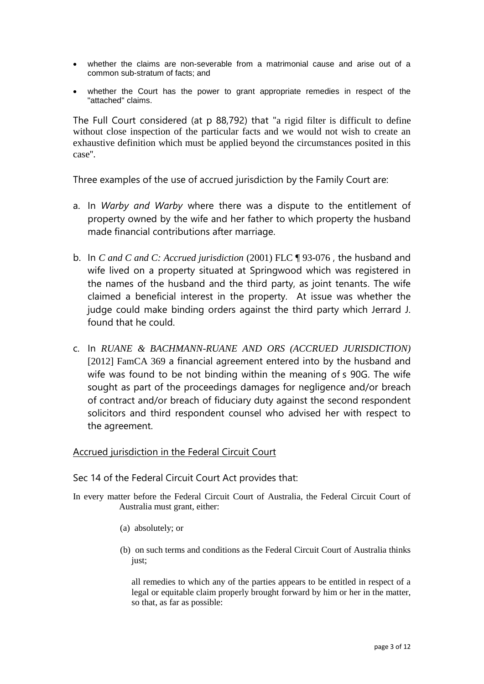- whether the claims are non-severable from a matrimonial cause and arise out of a common sub-stratum of facts; and
- whether the Court has the power to grant appropriate remedies in respect of the "attached'' claims.

The Full Court considered (at p 88,792) that "a rigid filter is difficult to define without close inspection of the particular facts and we would not wish to create an exhaustive definition which must be applied beyond the circumstances posited in this case''.

Three examples of the use of accrued jurisdiction by the Family Court are:

- a. In *Warby and Warby* where there was a dispute to the entitlement of property owned by the wife and her father to which property the husband made financial contributions after marriage.
- b. In *C and C and C: Accrued jurisdiction* (2001) FLC ¶ 93-076 , the husband and wife lived on a property situated at Springwood which was registered in the names of the husband and the third party, as joint tenants. The wife claimed a beneficial interest in the property. At issue was whether the judge could make binding orders against the third party which Jerrard J. found that he could.
- c. In *RUANE & BACHMANN-RUANE AND ORS (ACCRUED JURISDICTION)* [2012] FamCA 369 a financial agreement entered into by the husband and wife was found to be not binding within the meaning of s 90G. The wife sought as part of the proceedings damages for negligence and/or breach of contract and/or breach of fiduciary duty against the second respondent solicitors and third respondent counsel who advised her with respect to the agreement.

# Accrued jurisdiction in the Federal Circuit Court

Sec 14 of the Federal Circuit Court Act provides that:

- In every matter before the Federal Circuit Court of Australia, the Federal Circuit Court of Australia must grant, either:
	- (a) absolutely; or
	- (b) on such terms and conditions as the Federal Circuit Court of Australia thinks just;

all remedies to which any of the parties appears to be entitled in respect of a legal or equitable claim properly brought forward by him or her in the matter, so that, as far as possible: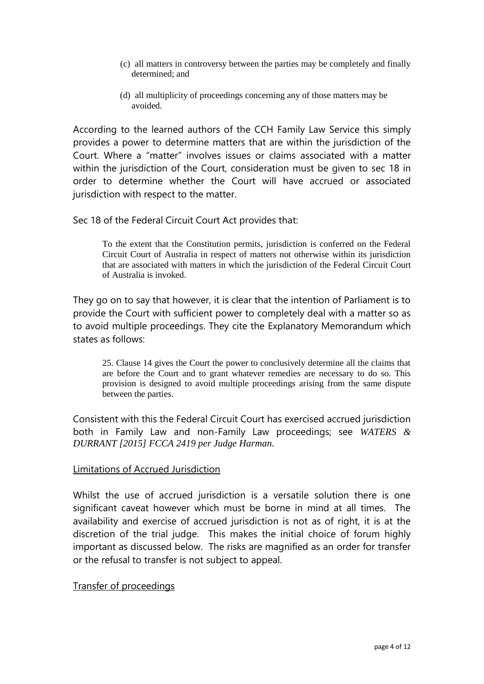- (c) all matters in controversy between the parties may be completely and finally determined; and
- (d) all multiplicity of proceedings concerning any of those matters may be avoided.

According to the learned authors of the CCH Family Law Service this simply provides a power to determine matters that are within the jurisdiction of the Court. Where a "matter" involves issues or claims associated with a matter within the jurisdiction of the Court, consideration must be given to sec 18 in order to determine whether the Court will have accrued or associated jurisdiction with respect to the matter.

Sec 18 of the Federal Circuit Court Act provides that:

To the extent that the Constitution permits, jurisdiction is conferred on the Federal Circuit Court of Australia in respect of matters not otherwise within its jurisdiction that are associated with matters in which the jurisdiction of the Federal Circuit Court of Australia is invoked.

They go on to say that however, it is clear that the intention of Parliament is to provide the Court with sufficient power to completely deal with a matter so as to avoid multiple proceedings. They cite the Explanatory Memorandum which states as follows:

25. Clause 14 gives the Court the power to conclusively determine all the claims that are before the Court and to grant whatever remedies are necessary to do so. This provision is designed to avoid multiple proceedings arising from the same dispute between the parties.

Consistent with this the Federal Circuit Court has exercised accrued jurisdiction both in Family Law and non-Family Law proceedings; see *WATERS & DURRANT [2015] FCCA 2419 per Judge Harman.*

# Limitations of Accrued Jurisdiction

Whilst the use of accrued jurisdiction is a versatile solution there is one significant caveat however which must be borne in mind at all times. The availability and exercise of accrued jurisdiction is not as of right, it is at the discretion of the trial judge. This makes the initial choice of forum highly important as discussed below. The risks are magnified as an order for transfer or the refusal to transfer is not subject to appeal.

# Transfer of proceedings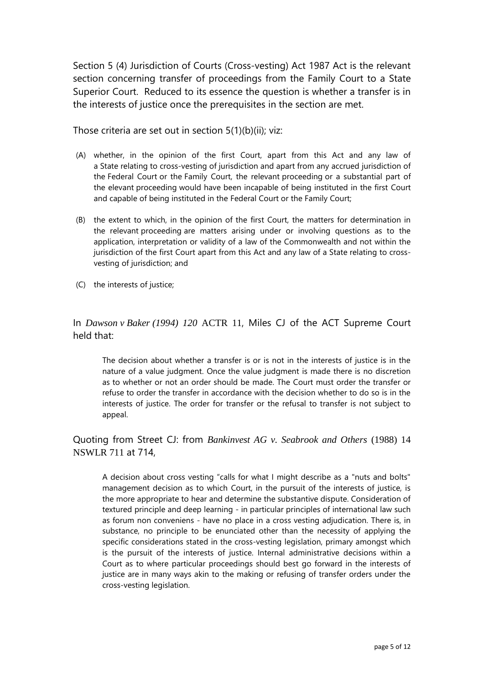Section 5 (4) Jurisdiction of Courts (Cross-vesting) Act 1987 Act is the relevant section concerning transfer of proceedings from the Family Court to a State Superior Court. Reduced to its essence the question is whether a transfer is in the interests of justice once the prerequisites in the section are met.

Those criteria are set out in section 5(1)(b)(ii); viz:

- (A) whether, in the opinion of the first Court, apart from this Act and any law of a [State](http://www.austlii.edu.au/au/legis/cth/consol_act/joca1987427/s3.html#state) relating to cross-vesting of jurisdiction and apart from any accrued jurisdiction of the [Federal Court](http://www.austlii.edu.au/au/legis/cth/consol_act/joca1987427/s3.html#federal_court) or the [Family Court,](http://www.austlii.edu.au/au/legis/cth/consol_act/joca1987427/s3.html#family_court) the relevant [proceeding](http://www.austlii.edu.au/au/legis/cth/consol_act/joca1987427/s3.html#proceeding) or a substantial part of the elevant [proceeding](http://www.austlii.edu.au/au/legis/cth/consol_act/joca1987427/s3.html#proceeding) would have been incapable of being instituted in the first Court and capable of being instituted in the [Federal Court](http://www.austlii.edu.au/au/legis/cth/consol_act/joca1987427/s3.html#federal_court) or the [Family Court;](http://www.austlii.edu.au/au/legis/cth/consol_act/joca1987427/s3.html#family_court)
- (B) the extent to which, in the opinion of the first Court, the matters for determination in the relevant [proceeding](http://www.austlii.edu.au/au/legis/cth/consol_act/joca1987427/s3.html#proceeding) are matters arising under or involving questions as to the application, interpretation or validity of a law of the Commonwealth and not within the jurisdiction of the first Court apart from this Act and any law of a [State](http://www.austlii.edu.au/au/legis/cth/consol_act/joca1987427/s3.html#state) relating to crossvesting of jurisdiction; and
- (C) the interests of justice;

In *Dawson v Baker (1994) 120* ACTR 11, Miles CJ of the ACT Supreme Court held that:

The decision about whether a transfer is or is not in the interests of justice is in the nature of a value judgment. Once the value judgment is made there is no discretion as to whether or not an order should be made. The Court must order the transfer or refuse to order the transfer in accordance with the decision whether to do so is in the interests of justice. The order for transfer or the refusal to transfer is not subject to appeal.

Quoting from Street CJ: from *Bankinvest AG v. Seabrook and Others* (1988) 14 NSWLR 711 at 714,

A decision about cross vesting "calls for what I might describe as a "nuts and bolts" management decision as to which Court, in the pursuit of the interests of justice, is the more appropriate to hear and determine the substantive dispute. Consideration of textured principle and deep learning - in particular principles of international law such as forum non conveniens - have no place in a cross vesting adjudication. There is, in substance, no principle to be enunciated other than the necessity of applying the specific considerations stated in the cross-vesting legislation, primary amongst which is the pursuit of the interests of justice. Internal administrative decisions within a Court as to where particular proceedings should best go forward in the interests of justice are in many ways akin to the making or refusing of transfer orders under the cross-vesting legislation.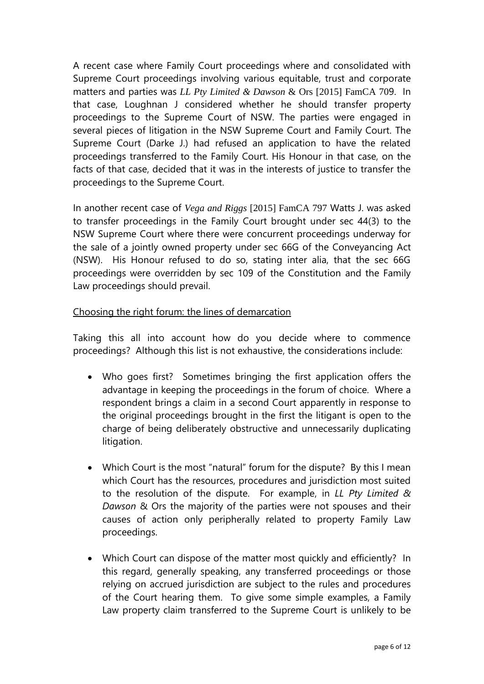A recent case where Family Court proceedings where and consolidated with Supreme Court proceedings involving various equitable, trust and corporate matters and parties was *LL Pty Limited & Dawson* & Ors [2015] FamCA 709. In that case, Loughnan J considered whether he should transfer property proceedings to the Supreme Court of NSW. The parties were engaged in several pieces of litigation in the NSW Supreme Court and Family Court. The Supreme Court (Darke J.) had refused an application to have the related proceedings transferred to the Family Court. His Honour in that case, on the facts of that case, decided that it was in the interests of justice to transfer the proceedings to the Supreme Court.

In another recent case of *Vega and Riggs* [2015] FamCA 797 Watts J. was asked to transfer proceedings in the Family Court brought under sec 44(3) to the NSW Supreme Court where there were concurrent proceedings underway for the sale of a jointly owned property under sec 66G of the Conveyancing Act (NSW). His Honour refused to do so, stating inter alia, that the sec 66G proceedings were overridden by sec 109 of the Constitution and the Family Law proceedings should prevail.

# Choosing the right forum: the lines of demarcation

Taking this all into account how do you decide where to commence proceedings? Although this list is not exhaustive, the considerations include:

- Who goes first? Sometimes bringing the first application offers the advantage in keeping the proceedings in the forum of choice. Where a respondent brings a claim in a second Court apparently in response to the original proceedings brought in the first the litigant is open to the charge of being deliberately obstructive and unnecessarily duplicating litigation.
- Which Court is the most "natural" forum for the dispute? By this I mean which Court has the resources, procedures and jurisdiction most suited to the resolution of the dispute. For example, in *LL Pty Limited & Dawson* & Ors the majority of the parties were not spouses and their causes of action only peripherally related to property Family Law proceedings.
- Which Court can dispose of the matter most quickly and efficiently? In this regard, generally speaking, any transferred proceedings or those relying on accrued jurisdiction are subject to the rules and procedures of the Court hearing them. To give some simple examples, a Family Law property claim transferred to the Supreme Court is unlikely to be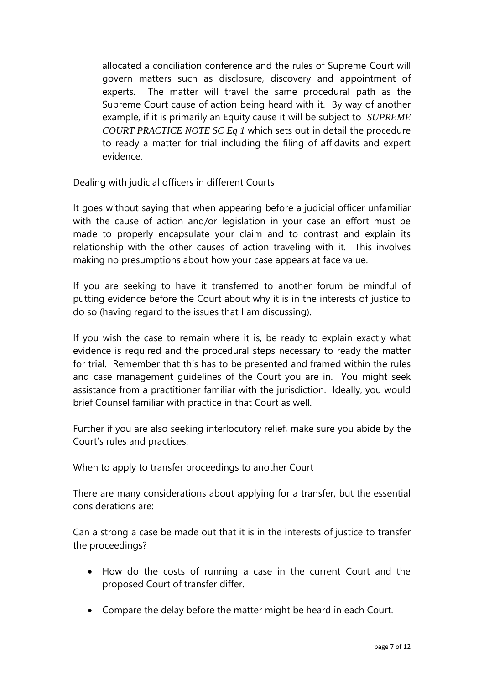allocated a conciliation conference and the rules of Supreme Court will govern matters such as disclosure, discovery and appointment of experts. The matter will travel the same procedural path as the Supreme Court cause of action being heard with it. By way of another example, if it is primarily an Equity cause it will be subject to *SUPREME COURT PRACTICE NOTE SC Eq 1* which sets out in detail the procedure to ready a matter for trial including the filing of affidavits and expert evidence.

# Dealing with judicial officers in different Courts

It goes without saying that when appearing before a judicial officer unfamiliar with the cause of action and/or legislation in your case an effort must be made to properly encapsulate your claim and to contrast and explain its relationship with the other causes of action traveling with it. This involves making no presumptions about how your case appears at face value.

If you are seeking to have it transferred to another forum be mindful of putting evidence before the Court about why it is in the interests of justice to do so (having regard to the issues that I am discussing).

If you wish the case to remain where it is, be ready to explain exactly what evidence is required and the procedural steps necessary to ready the matter for trial. Remember that this has to be presented and framed within the rules and case management guidelines of the Court you are in. You might seek assistance from a practitioner familiar with the jurisdiction. Ideally, you would brief Counsel familiar with practice in that Court as well.

Further if you are also seeking interlocutory relief, make sure you abide by the Court's rules and practices.

# When to apply to transfer proceedings to another Court

There are many considerations about applying for a transfer, but the essential considerations are:

Can a strong a case be made out that it is in the interests of justice to transfer the proceedings?

- How do the costs of running a case in the current Court and the proposed Court of transfer differ.
- Compare the delay before the matter might be heard in each Court.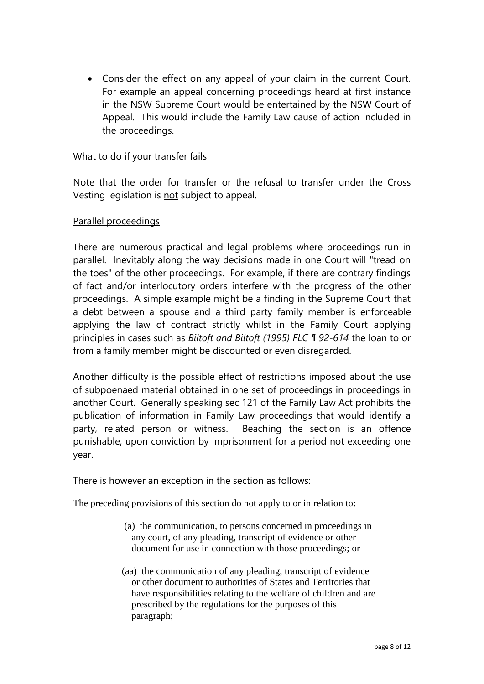Consider the effect on any appeal of your claim in the current Court. For example an appeal concerning proceedings heard at first instance in the NSW Supreme Court would be entertained by the NSW Court of Appeal. This would include the Family Law cause of action included in the proceedings.

# What to do if your transfer fails

Note that the order for transfer or the refusal to transfer under the Cross Vesting legislation is not subject to appeal.

### Parallel proceedings

There are numerous practical and legal problems where proceedings run in parallel. Inevitably along the way decisions made in one Court will "tread on the toes" of the other proceedings. For example, if there are contrary findings of fact and/or interlocutory orders interfere with the progress of the other proceedings. A simple example might be a finding in the Supreme Court that a debt between a spouse and a third party family member is enforceable applying the law of contract strictly whilst in the Family Court applying principles in cases such as *Biltoft and Biltoft (1995) FLC ¶ 92-614* the loan to or from a family member might be discounted or even disregarded.

Another difficulty is the possible effect of restrictions imposed about the use of subpoenaed material obtained in one set of proceedings in proceedings in another Court. Generally speaking sec 121 of the Family Law Act prohibits the publication of information in Family Law proceedings that would identify a party, related person or witness. Beaching the section is an offence punishable, upon conviction by imprisonment for a period not exceeding one year.

There is however an exception in the section as follows:

The preceding provisions of this section do not apply to or in relation to:

- (a) the communication, to persons concerned in proceedings in any court, of any pleading, transcript of evidence or other document for use in connection with those proceedings; or
- (aa) the communication of any pleading, transcript of evidence or other document to authorities of States and Territories that have responsibilities relating to the welfare of children and are prescribed by the regulations for the purposes of this paragraph;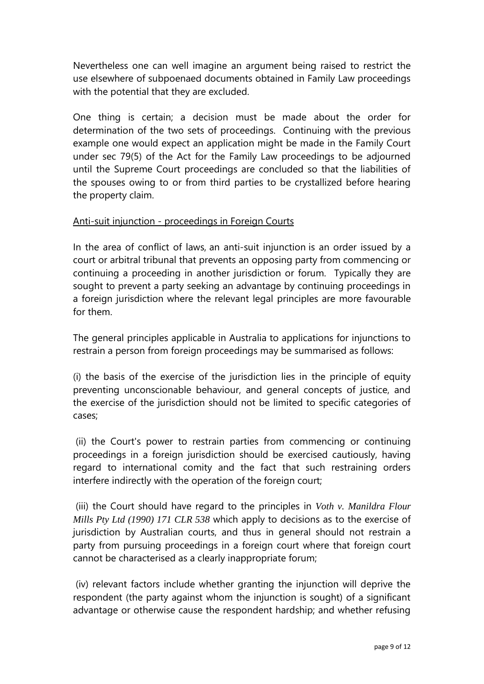Nevertheless one can well imagine an argument being raised to restrict the use elsewhere of subpoenaed documents obtained in Family Law proceedings with the potential that they are excluded.

One thing is certain; a decision must be made about the order for determination of the two sets of proceedings. Continuing with the previous example one would expect an application might be made in the Family Court under sec 79(5) of the Act for the Family Law proceedings to be adjourned until the Supreme Court proceedings are concluded so that the liabilities of the spouses owing to or from third parties to be crystallized before hearing the property claim.

# Anti-suit injunction - proceedings in Foreign Courts

In the area of conflict of laws, an anti-suit injunction is an order issued by a court or arbitral tribunal that prevents an opposing party from commencing or continuing a proceeding in another jurisdiction or forum. Typically they are sought to prevent a party seeking an advantage by continuing proceedings in a foreign jurisdiction where the relevant legal principles are more favourable for them.

The general principles applicable in Australia to applications for injunctions to restrain a person from foreign proceedings may be summarised as follows:

(i) the basis of the exercise of the jurisdiction lies in the principle of equity preventing unconscionable behaviour, and general concepts of justice, and the exercise of the jurisdiction should not be limited to specific categories of cases;

(ii) the Court's power to restrain parties from commencing or continuing proceedings in a foreign jurisdiction should be exercised cautiously, having regard to international comity and the fact that such restraining orders interfere indirectly with the operation of the foreign court;

(iii) the Court should have regard to the principles in *Voth v. Manildra Flour Mills Pty Ltd (1990) 171 CLR 538* which apply to decisions as to the exercise of jurisdiction by Australian courts, and thus in general should not restrain a party from pursuing proceedings in a foreign court where that foreign court cannot be characterised as a clearly inappropriate forum;

(iv) relevant factors include whether granting the injunction will deprive the respondent (the party against whom the injunction is sought) of a significant advantage or otherwise cause the respondent hardship; and whether refusing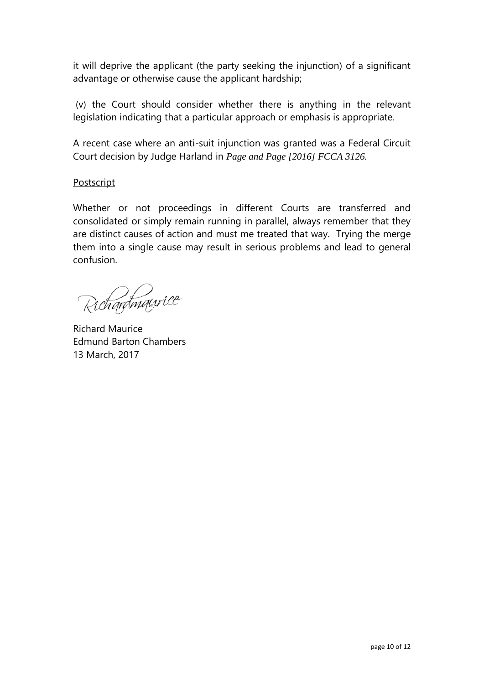it will deprive the applicant (the party seeking the injunction) of a significant advantage or otherwise cause the applicant hardship;

(v) the Court should consider whether there is anything in the relevant legislation indicating that a particular approach or emphasis is appropriate.

A recent case where an anti-suit injunction was granted was a Federal Circuit Court decision by Judge Harland in *Page and Page [2016] FCCA 3126.*

### **Postscript**

Whether or not proceedings in different Courts are transferred and consolidated or simply remain running in parallel, always remember that they are distinct causes of action and must me treated that way. Trying the merge them into a single cause may result in serious problems and lead to general confusion.

Richardmaurice

Richard Maurice Edmund Barton Chambers 13 March, 2017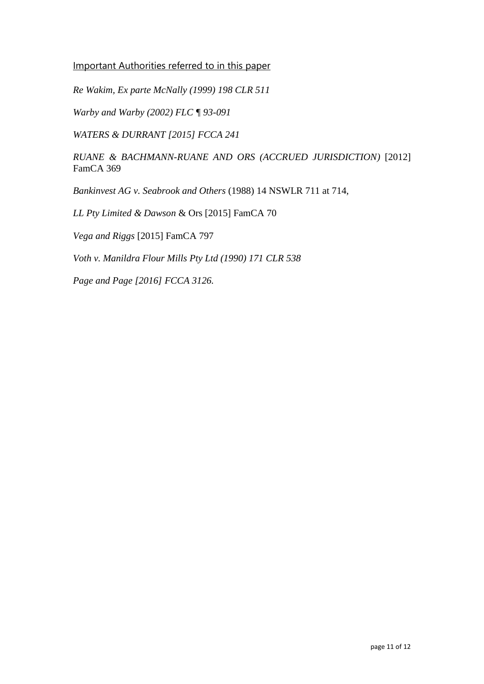Important Authorities referred to in this paper

*Re Wakim, Ex parte McNally (1999) 198 CLR 511*

*Warby and Warby (2002) FLC ¶ 93-091*

*WATERS & DURRANT [2015] FCCA 241*

*RUANE & BACHMANN-RUANE AND ORS (ACCRUED JURISDICTION)* [2012] FamCA 369

*Bankinvest AG v. Seabrook and Others* (1988) 14 NSWLR 711 at 714,

*LL Pty Limited & Dawson* & Ors [2015] FamCA 70

*Vega and Riggs* [2015] FamCA 797

*Voth v. Manildra Flour Mills Pty Ltd (1990) 171 CLR 538*

*Page and Page [2016] FCCA 3126.*